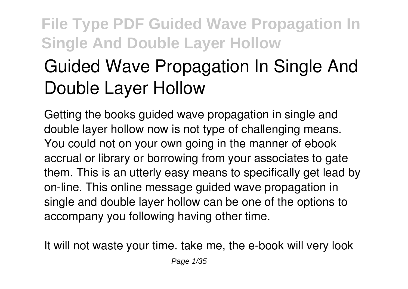# **Guided Wave Propagation In Single And Double Layer Hollow**

Getting the books **guided wave propagation in single and double layer hollow** now is not type of challenging means. You could not on your own going in the manner of ebook accrual or library or borrowing from your associates to gate them. This is an utterly easy means to specifically get lead by on-line. This online message guided wave propagation in single and double layer hollow can be one of the options to accompany you following having other time.

It will not waste your time. take me, the e-book will very look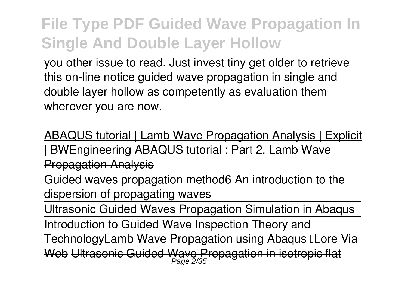you other issue to read. Just invest tiny get older to retrieve this on-line notice **guided wave propagation in single and double layer hollow** as competently as evaluation them wherever you are now.

ABAQUS tutorial | Lamb Wave Propagation Analysis | Explicit | BWEngineering ABAQUS tutorial : Part 2. Lamb Wave Propagation Analysis

Guided waves propagation method*6 An introduction to the dispersion of propagating waves*

Ultrasonic Guided Waves Propagation Simulation in Abaqus

Introduction to Guided Wave Inspection Theory and

Technology<del>Lamb Wave Propagation using Abagus ⊪Lore Via</del>

Web Ultrasonic Guided Wave Propagation in isotropic Page 2/35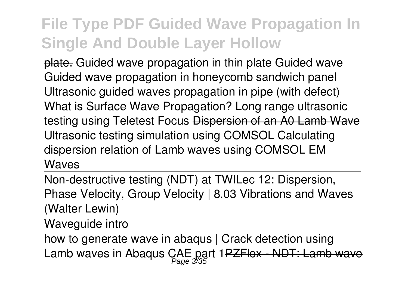plate. Guided wave propagation in thin plate *Guided wave Guided wave propagation in honeycomb sandwich panel Ultrasonic guided waves propagation in pipe (with defect) What is Surface Wave Propagation? Long range ultrasonic testing using Teletest Focus* Dispersion of an A0 Lamb Wave *Ultrasonic testing simulation using COMSOL Calculating dispersion relation of Lamb waves using COMSOL EM Waves*

Non-destructive testing (NDT) at TWI*Lec 12: Dispersion, Phase Velocity, Group Velocity | 8.03 Vibrations and Waves (Walter Lewin)*

Waveguide intro

```
how to generate wave in abagus | Crack detection using
Lamb waves in Abaqus CAE part 1<del>PZFlex - NDT: Lamb wave</del>
```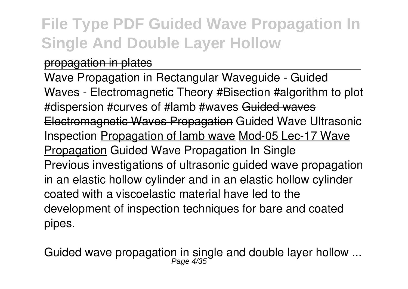#### propagation in plates

Wave Propagation in Rectangular Waveguide - Guided Waves - Electromagnetic Theory #Bisection #algorithm to plot #dispersion #curves of #lamb #waves Guided waves Electromagnetic Waves Propagation **Guided Wave Ultrasonic Inspection** Propagation of lamb wave Mod-05 Lec-17 Wave Propagation **Guided Wave Propagation In Single** Previous investigations of ultrasonic guided wave propagation in an elastic hollow cylinder and in an elastic hollow cylinder coated with a viscoelastic material have led to the development of inspection techniques for bare and coated pipes.

**Guided wave propagation in single and double layer hollow ...** Page 4/35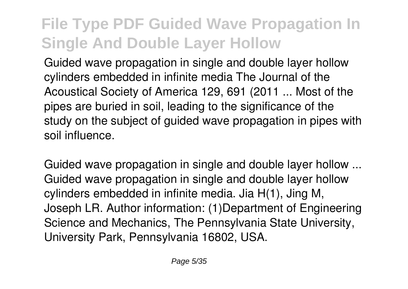Guided wave propagation in single and double layer hollow cylinders embedded in infinite media The Journal of the Acoustical Society of America 129, 691 (2011 ... Most of the pipes are buried in soil, leading to the significance of the study on the subject of quided wave propagation in pipes with soil influence.

**Guided wave propagation in single and double layer hollow ...** Guided wave propagation in single and double layer hollow cylinders embedded in infinite media. Jia H(1), Jing M, Joseph LR. Author information: (1)Department of Engineering Science and Mechanics, The Pennsylvania State University, University Park, Pennsylvania 16802, USA.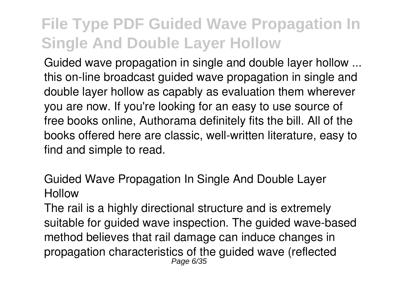**Guided wave propagation in single and double layer hollow ...** this on-line broadcast guided wave propagation in single and double layer hollow as capably as evaluation them wherever you are now. If you're looking for an easy to use source of free books online, Authorama definitely fits the bill. All of the books offered here are classic, well-written literature, easy to find and simple to read.

**Guided Wave Propagation In Single And Double Layer Hollow**

The rail is a highly directional structure and is extremely suitable for guided wave inspection. The guided wave-based method believes that rail damage can induce changes in propagation characteristics of the guided wave (reflected Page 6/35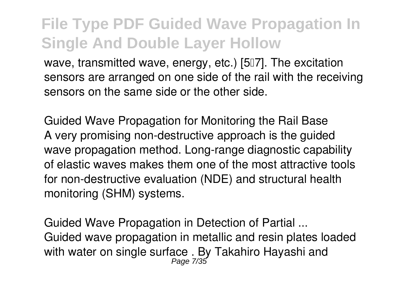wave, transmitted wave, energy, etc.) [507]. The excitation sensors are arranged on one side of the rail with the receiving sensors on the same side or the other side.

**Guided Wave Propagation for Monitoring the Rail Base** A very promising non-destructive approach is the guided wave propagation method. Long-range diagnostic capability of elastic waves makes them one of the most attractive tools for non-destructive evaluation (NDE) and structural health monitoring (SHM) systems.

**Guided Wave Propagation in Detection of Partial ...** Guided wave propagation in metallic and resin plates loaded with water on single surface . By Takahiro Hayashi and Page 7/35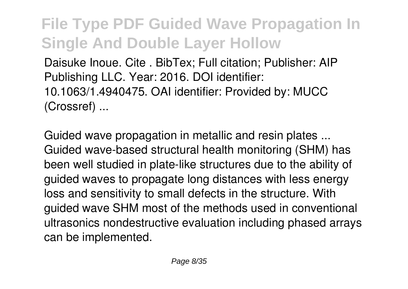Daisuke Inoue. Cite . BibTex; Full citation; Publisher: AIP Publishing LLC. Year: 2016. DOI identifier: 10.1063/1.4940475. OAI identifier: Provided by: MUCC (Crossref) ...

**Guided wave propagation in metallic and resin plates ...** Guided wave-based structural health monitoring (SHM) has been well studied in plate-like structures due to the ability of guided waves to propagate long distances with less energy loss and sensitivity to small defects in the structure. With guided wave SHM most of the methods used in conventional ultrasonics nondestructive evaluation including phased arrays can be implemented.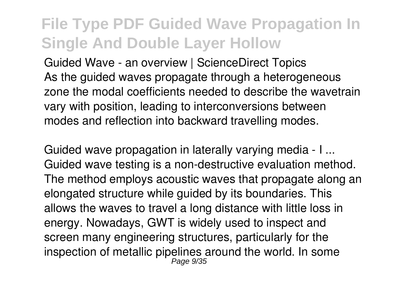**Guided Wave - an overview | ScienceDirect Topics** As the quided waves propagate through a heterogeneous zone the modal coefficients needed to describe the wavetrain vary with position, leading to interconversions between modes and reflection into backward travelling modes.

**Guided wave propagation in laterally varying media - I ...** Guided wave testing is a non-destructive evaluation method. The method employs acoustic waves that propagate along an elongated structure while guided by its boundaries. This allows the waves to travel a long distance with little loss in energy. Nowadays, GWT is widely used to inspect and screen many engineering structures, particularly for the inspection of metallic pipelines around the world. In some Page 9/35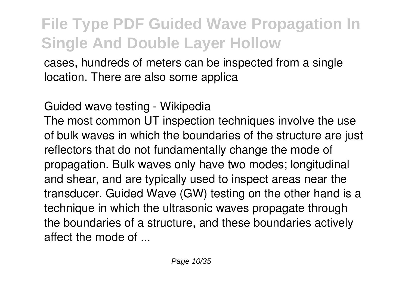cases, hundreds of meters can be inspected from a single location. There are also some applica

#### **Guided wave testing - Wikipedia**

The most common UT inspection techniques involve the use of bulk waves in which the boundaries of the structure are just reflectors that do not fundamentally change the mode of propagation. Bulk waves only have two modes; longitudinal and shear, and are typically used to inspect areas near the transducer. Guided Wave (GW) testing on the other hand is a technique in which the ultrasonic waves propagate through the boundaries of a structure, and these boundaries actively affect the mode of ...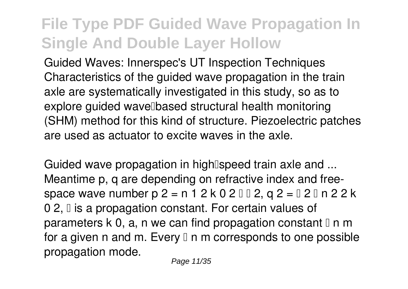**Guided Waves: Innerspec's UT Inspection Techniques** Characteristics of the guided wave propagation in the train axle are systematically investigated in this study, so as to explore guided wave based structural health monitoring (SHM) method for this kind of structure. Piezoelectric patches are used as actuator to excite waves in the axle.

Guided wave propagation in high<sup>[speed</sup> train axle and ... Meantime p, q are depending on refractive index and freespace wave number p 2 = n 1 2 k 0 2 – β 2, q 2 = β 2 – n 2 2 k 0 2, *a* is a propagation constant. For certain values of parameters k 0, a, n we can find propagation constant  $\mathbb I$  n m for a given n and m. Every  $\mathbb I$  n m corresponds to one possible propagation mode.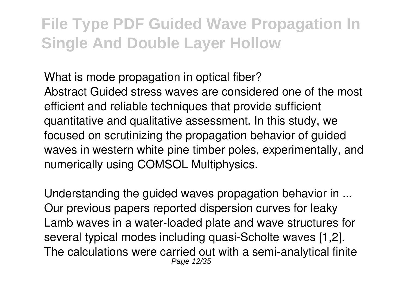**What is mode propagation in optical fiber?**

Abstract Guided stress waves are considered one of the most efficient and reliable techniques that provide sufficient quantitative and qualitative assessment. In this study, we focused on scrutinizing the propagation behavior of guided waves in western white pine timber poles, experimentally, and numerically using COMSOL Multiphysics.

**Understanding the guided waves propagation behavior in ...** Our previous papers reported dispersion curves for leaky Lamb waves in a water-loaded plate and wave structures for several typical modes including quasi-Scholte waves [1,2]. The calculations were carried out with a semi-analytical finite Page 12/35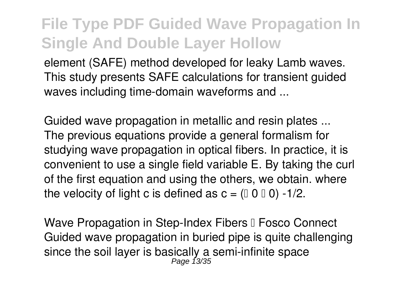element (SAFE) method developed for leaky Lamb waves. This study presents SAFE calculations for transient guided waves including time-domain waveforms and ...

**Guided wave propagation in metallic and resin plates ...** The previous equations provide a general formalism for studying wave propagation in optical fibers. In practice, it is convenient to use a single field variable E. By taking the curl of the first equation and using the others, we obtain. where the velocity of light c is defined as  $c = (0 \ 0 \ 0) -1/2$ .

**Wave Propagation in Step-Index Fibers II Fosco Connect** Guided wave propagation in buried pipe is quite challenging since the soil layer is basically a semi-infinite space<br><sup>Page 13/35</sup>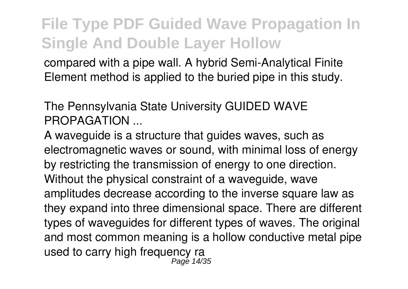compared with a pipe wall. A hybrid Semi-Analytical Finite Element method is applied to the buried pipe in this study.

**The Pennsylvania State University GUIDED WAVE PROPAGATION ...**

A waveguide is a structure that guides waves, such as electromagnetic waves or sound, with minimal loss of energy by restricting the transmission of energy to one direction. Without the physical constraint of a waveguide, wave amplitudes decrease according to the inverse square law as they expand into three dimensional space. There are different types of waveguides for different types of waves. The original and most common meaning is a hollow conductive metal pipe used to carry high frequency ra Page 14/35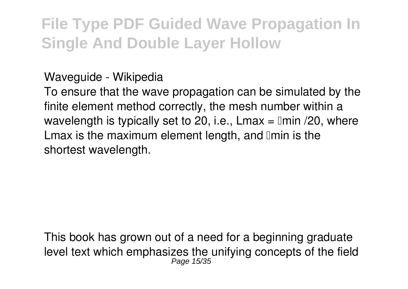#### **Waveguide - Wikipedia**

To ensure that the wave propagation can be simulated by the finite element method correctly, the mesh number within a wavelength is typically set to 20, i.e., Lmax =  $\text{Imin}$  /20, where Lmax is the maximum element length, and  $\mathbb I$ min is the shortest wavelength.

This book has grown out of a need for a beginning graduate level text which emphasizes the unifying concepts of the field Page 15/35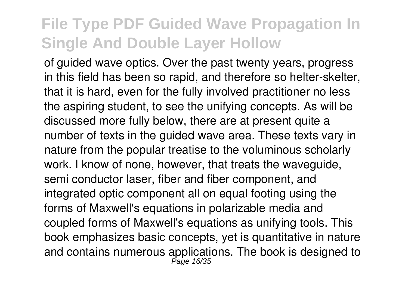of guided wave optics. Over the past twenty years, progress in this field has been so rapid, and therefore so helter-skelter, that it is hard, even for the fully involved practitioner no less the aspiring student, to see the unifying concepts. As will be discussed more fully below, there are at present quite a number of texts in the guided wave area. These texts vary in nature from the popular treatise to the voluminous scholarly work. I know of none, however, that treats the waveguide, semi conductor laser, fiber and fiber component, and integrated optic component all on equal footing using the forms of Maxwell's equations in polarizable media and coupled forms of Maxwell's equations as unifying tools. This book emphasizes basic concepts, yet is quantitative in nature and contains numerous applications. The book is designed to Page 16/35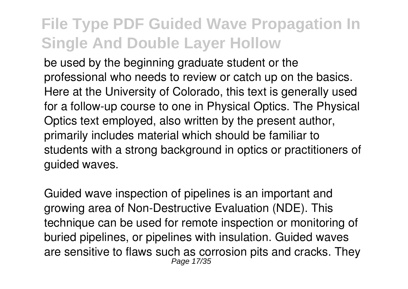be used by the beginning graduate student or the professional who needs to review or catch up on the basics. Here at the University of Colorado, this text is generally used for a follow-up course to one in Physical Optics. The Physical Optics text employed, also written by the present author, primarily includes material which should be familiar to students with a strong background in optics or practitioners of guided waves.

Guided wave inspection of pipelines is an important and growing area of Non-Destructive Evaluation (NDE). This technique can be used for remote inspection or monitoring of buried pipelines, or pipelines with insulation. Guided waves are sensitive to flaws such as corrosion pits and cracks. They Page 17/35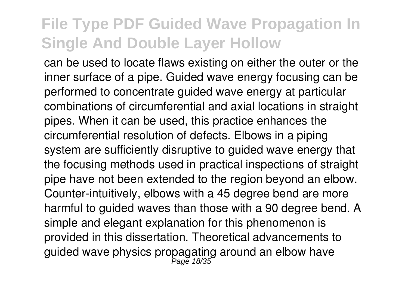can be used to locate flaws existing on either the outer or the inner surface of a pipe. Guided wave energy focusing can be performed to concentrate guided wave energy at particular combinations of circumferential and axial locations in straight pipes. When it can be used, this practice enhances the circumferential resolution of defects. Elbows in a piping system are sufficiently disruptive to guided wave energy that the focusing methods used in practical inspections of straight pipe have not been extended to the region beyond an elbow. Counter-intuitively, elbows with a 45 degree bend are more harmful to guided waves than those with a 90 degree bend. A simple and elegant explanation for this phenomenon is provided in this dissertation. Theoretical advancements to guided wave physics propagating around an elbow have<br>Page 18/35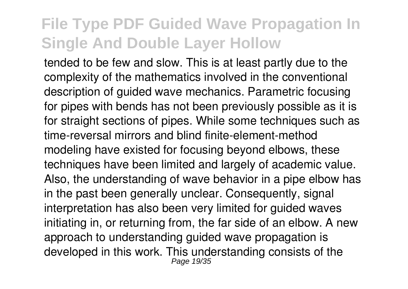tended to be few and slow. This is at least partly due to the complexity of the mathematics involved in the conventional description of guided wave mechanics. Parametric focusing for pipes with bends has not been previously possible as it is for straight sections of pipes. While some techniques such as time-reversal mirrors and blind finite-element-method modeling have existed for focusing beyond elbows, these techniques have been limited and largely of academic value. Also, the understanding of wave behavior in a pipe elbow has in the past been generally unclear. Consequently, signal interpretation has also been very limited for guided waves initiating in, or returning from, the far side of an elbow. A new approach to understanding guided wave propagation is developed in this work. This understanding consists of the Page 19/35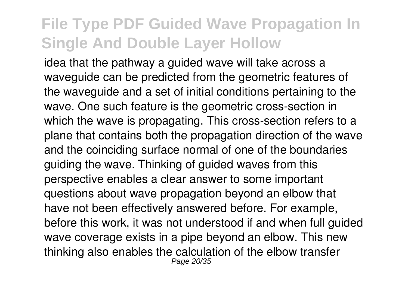idea that the pathway a guided wave will take across a waveguide can be predicted from the geometric features of the waveguide and a set of initial conditions pertaining to the wave. One such feature is the geometric cross-section in which the wave is propagating. This cross-section refers to a plane that contains both the propagation direction of the wave and the coinciding surface normal of one of the boundaries guiding the wave. Thinking of guided waves from this perspective enables a clear answer to some important questions about wave propagation beyond an elbow that have not been effectively answered before. For example, before this work, it was not understood if and when full guided wave coverage exists in a pipe beyond an elbow. This new thinking also enables the calculation of the elbow transfer Page 20/35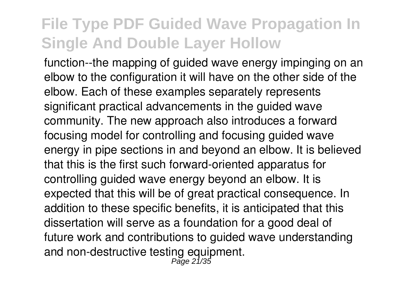function--the mapping of guided wave energy impinging on an elbow to the configuration it will have on the other side of the elbow. Each of these examples separately represents significant practical advancements in the guided wave community. The new approach also introduces a forward focusing model for controlling and focusing guided wave energy in pipe sections in and beyond an elbow. It is believed that this is the first such forward-oriented apparatus for controlling guided wave energy beyond an elbow. It is expected that this will be of great practical consequence. In addition to these specific benefits, it is anticipated that this dissertation will serve as a foundation for a good deal of future work and contributions to guided wave understanding and non-destructive testing equipment.<br>Page 21/35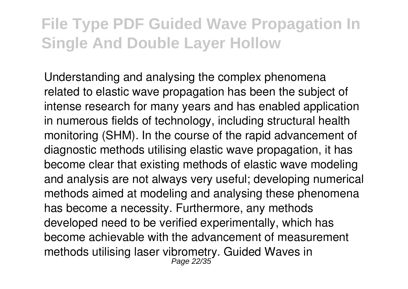Understanding and analysing the complex phenomena related to elastic wave propagation has been the subject of intense research for many years and has enabled application in numerous fields of technology, including structural health monitoring (SHM). In the course of the rapid advancement of diagnostic methods utilising elastic wave propagation, it has become clear that existing methods of elastic wave modeling and analysis are not always very useful; developing numerical methods aimed at modeling and analysing these phenomena has become a necessity. Furthermore, any methods developed need to be verified experimentally, which has become achievable with the advancement of measurement methods utilising laser vibrometry. Guided Waves in Page 22/35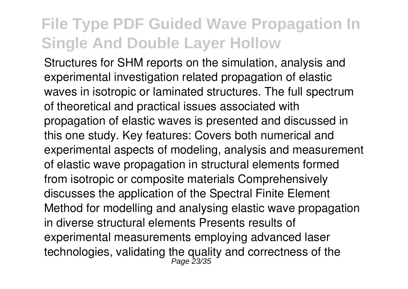Structures for SHM reports on the simulation, analysis and experimental investigation related propagation of elastic waves in isotropic or laminated structures. The full spectrum of theoretical and practical issues associated with propagation of elastic waves is presented and discussed in this one study. Key features: Covers both numerical and experimental aspects of modeling, analysis and measurement of elastic wave propagation in structural elements formed from isotropic or composite materials Comprehensively discusses the application of the Spectral Finite Element Method for modelling and analysing elastic wave propagation in diverse structural elements Presents results of experimental measurements employing advanced laser technologies, validating the quality and correctness of the<br>Page 23/35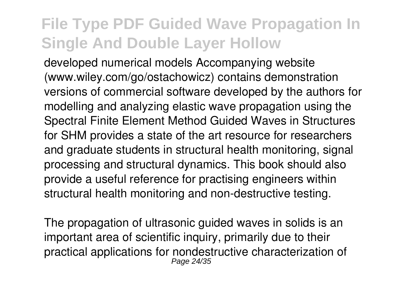developed numerical models Accompanying website (www.wiley.com/go/ostachowicz) contains demonstration versions of commercial software developed by the authors for modelling and analyzing elastic wave propagation using the Spectral Finite Element Method Guided Waves in Structures for SHM provides a state of the art resource for researchers and graduate students in structural health monitoring, signal processing and structural dynamics. This book should also provide a useful reference for practising engineers within structural health monitoring and non-destructive testing.

The propagation of ultrasonic guided waves in solids is an important area of scientific inquiry, primarily due to their practical applications for nondestructive characterization of Page 24/35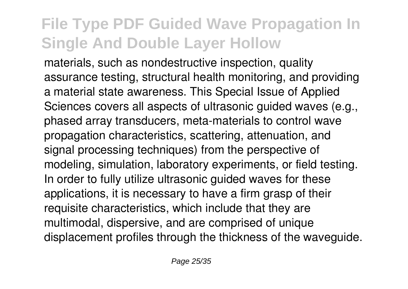materials, such as nondestructive inspection, quality assurance testing, structural health monitoring, and providing a material state awareness. This Special Issue of Applied Sciences covers all aspects of ultrasonic quided waves (e.g., phased array transducers, meta-materials to control wave propagation characteristics, scattering, attenuation, and signal processing techniques) from the perspective of modeling, simulation, laboratory experiments, or field testing. In order to fully utilize ultrasonic guided waves for these applications, it is necessary to have a firm grasp of their requisite characteristics, which include that they are multimodal, dispersive, and are comprised of unique displacement profiles through the thickness of the waveguide.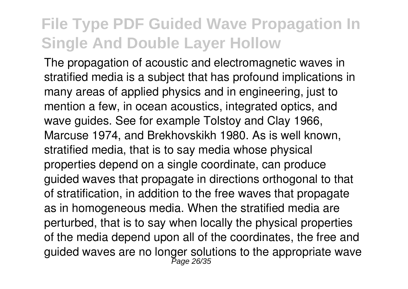The propagation of acoustic and electromagnetic waves in stratified media is a subject that has profound implications in many areas of applied physics and in engineering, just to mention a few, in ocean acoustics, integrated optics, and wave guides. See for example Tolstoy and Clay 1966, Marcuse 1974, and Brekhovskikh 1980. As is well known, stratified media, that is to say media whose physical properties depend on a single coordinate, can produce guided waves that propagate in directions orthogonal to that of stratification, in addition to the free waves that propagate as in homogeneous media. When the stratified media are perturbed, that is to say when locally the physical properties of the media depend upon all of the coordinates, the free and guided waves are no longer solutions to the appropriate wave<br>Page 26/35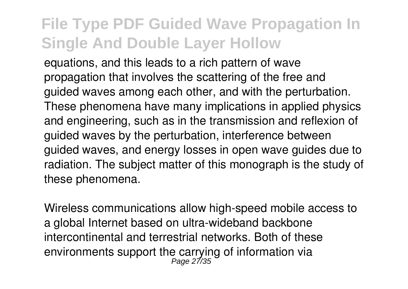equations, and this leads to a rich pattern of wave propagation that involves the scattering of the free and guided waves among each other, and with the perturbation. These phenomena have many implications in applied physics and engineering, such as in the transmission and reflexion of guided waves by the perturbation, interference between guided waves, and energy losses in open wave guides due to radiation. The subject matter of this monograph is the study of these phenomena.

Wireless communications allow high-speed mobile access to a global Internet based on ultra-wideband backbone intercontinental and terrestrial networks. Both of these environments support the carrying of information via<br><sup>Page 27/35</sup>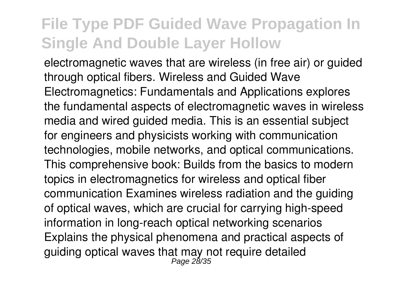electromagnetic waves that are wireless (in free air) or guided through optical fibers. Wireless and Guided Wave Electromagnetics: Fundamentals and Applications explores the fundamental aspects of electromagnetic waves in wireless media and wired guided media. This is an essential subject for engineers and physicists working with communication technologies, mobile networks, and optical communications. This comprehensive book: Builds from the basics to modern topics in electromagnetics for wireless and optical fiber communication Examines wireless radiation and the guiding of optical waves, which are crucial for carrying high-speed information in long-reach optical networking scenarios Explains the physical phenomena and practical aspects of guiding optical waves that may not require detailed<br><sup>Page 28/35</sup>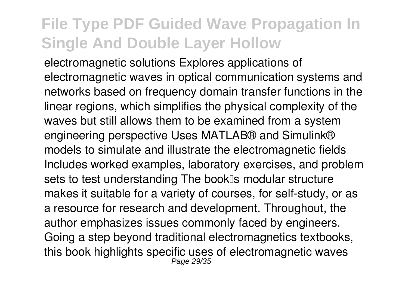electromagnetic solutions Explores applications of electromagnetic waves in optical communication systems and networks based on frequency domain transfer functions in the linear regions, which simplifies the physical complexity of the waves but still allows them to be examined from a system engineering perspective Uses MATLAB® and Simulink® models to simulate and illustrate the electromagnetic fields Includes worked examples, laboratory exercises, and problem sets to test understanding The booklls modular structure makes it suitable for a variety of courses, for self-study, or as a resource for research and development. Throughout, the author emphasizes issues commonly faced by engineers. Going a step beyond traditional electromagnetics textbooks, this book highlights specific uses of electromagnetic waves Page 29/35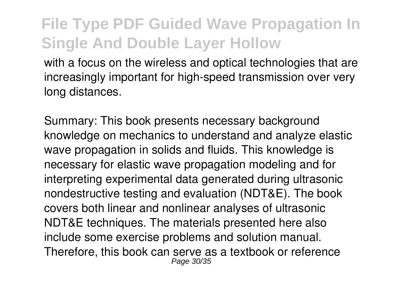with a focus on the wireless and optical technologies that are increasingly important for high-speed transmission over very long distances.

Summary: This book presents necessary background knowledge on mechanics to understand and analyze elastic wave propagation in solids and fluids. This knowledge is necessary for elastic wave propagation modeling and for interpreting experimental data generated during ultrasonic nondestructive testing and evaluation (NDT&E). The book covers both linear and nonlinear analyses of ultrasonic NDT&E techniques. The materials presented here also include some exercise problems and solution manual. Therefore, this book can serve as a textbook or reference Page 30/35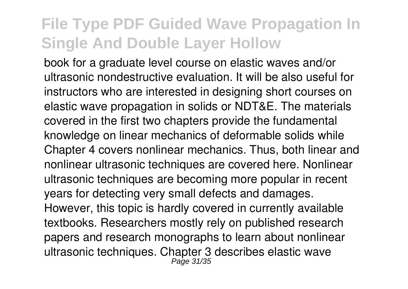book for a graduate level course on elastic waves and/or ultrasonic nondestructive evaluation. It will be also useful for instructors who are interested in designing short courses on elastic wave propagation in solids or NDT&E. The materials covered in the first two chapters provide the fundamental knowledge on linear mechanics of deformable solids while Chapter 4 covers nonlinear mechanics. Thus, both linear and nonlinear ultrasonic techniques are covered here. Nonlinear ultrasonic techniques are becoming more popular in recent years for detecting very small defects and damages. However, this topic is hardly covered in currently available textbooks. Researchers mostly rely on published research papers and research monographs to learn about nonlinear ultrasonic techniques. Chapter 3 describes elastic wave Page 31/35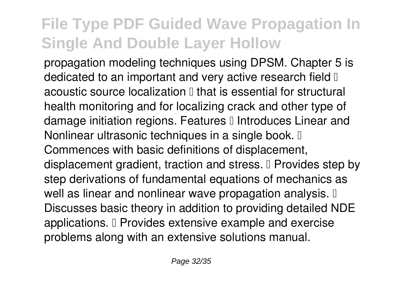propagation modeling techniques using DPSM. Chapter 5 is dedicated to an important and very active research field  $\mathbb I$ acoustic source localization  $\mathbb I$  that is essential for structural health monitoring and for localizing crack and other type of damage initiation regions. Features I Introduces Linear and Nonlinear ultrasonic techniques in a single book.  $\mathbb I$ Commences with basic definitions of displacement, displacement gradient, traction and stress. I Provides step by step derivations of fundamental equations of mechanics as well as linear and nonlinear wave propagation analysis.  $\mathbb I$ Discusses basic theory in addition to providing detailed NDE applications. I Provides extensive example and exercise problems along with an extensive solutions manual.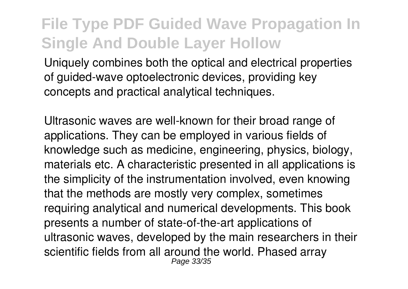Uniquely combines both the optical and electrical properties of guided-wave optoelectronic devices, providing key concepts and practical analytical techniques.

Ultrasonic waves are well-known for their broad range of applications. They can be employed in various fields of knowledge such as medicine, engineering, physics, biology, materials etc. A characteristic presented in all applications is the simplicity of the instrumentation involved, even knowing that the methods are mostly very complex, sometimes requiring analytical and numerical developments. This book presents a number of state-of-the-art applications of ultrasonic waves, developed by the main researchers in their scientific fields from all around the world. Phased array Page 33/35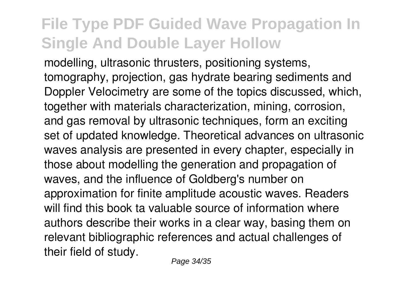modelling, ultrasonic thrusters, positioning systems, tomography, projection, gas hydrate bearing sediments and Doppler Velocimetry are some of the topics discussed, which, together with materials characterization, mining, corrosion, and gas removal by ultrasonic techniques, form an exciting set of updated knowledge. Theoretical advances on ultrasonic waves analysis are presented in every chapter, especially in those about modelling the generation and propagation of waves, and the influence of Goldberg's number on approximation for finite amplitude acoustic waves. Readers will find this book ta valuable source of information where authors describe their works in a clear way, basing them on relevant bibliographic references and actual challenges of their field of study.